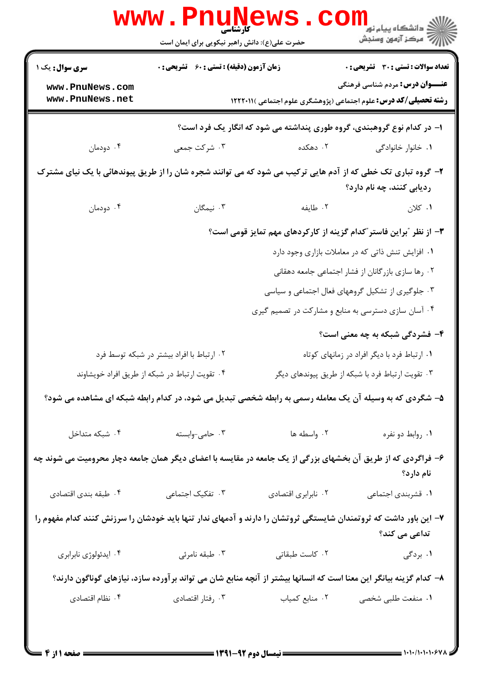|                                                                                                                                           | <b>www.PnuNewS</b><br>کارشناسی<br>حضرت علی(ع): دانش راهبر نیکویی برای ایمان است                     |                                                     | ڪ دانشڪاه پيا <sub>م</sub> نور<br>۾ مرڪز آزمون وسنڊش                                                              |  |  |
|-------------------------------------------------------------------------------------------------------------------------------------------|-----------------------------------------------------------------------------------------------------|-----------------------------------------------------|-------------------------------------------------------------------------------------------------------------------|--|--|
| <b>سری سوال :</b> یک ۱                                                                                                                    | <b>زمان آزمون (دقیقه) : تستی : 60 ٪ تشریحی : 0</b>                                                  |                                                     | <b>تعداد سوالات : تستی : 30 ٪ تشریحی : 0</b>                                                                      |  |  |
| www.PnuNews.com<br>www.PnuNews.net                                                                                                        |                                                                                                     |                                                     | <b>عنـــوان درس:</b> مردم شناسی فرهنگی<br><b>رشته تحصیلی/کد درس:</b> علوم اجتماعی (پژوهشگری علوم اجتماعی )۱۲۲۲۰۱۱ |  |  |
| ا- در کدام نوع گروهبندی، گروه طوری پنداشته می شود که انگار یک فرد است؟                                                                    |                                                                                                     |                                                     |                                                                                                                   |  |  |
| ۰۴ دودمان                                                                                                                                 | ۰۳ شرکت جمعی                                                                                        | ۰۲ دهکده                                            | ۰۱ خانوار خانوادگی                                                                                                |  |  |
| ۲- گروه تباری تک خطی که از آدم هایی ترکیب می شود که می توانند شجره شان را از طریق پیوندهائی با یک نیای مشترک<br>ردیابی کنند، چه نام دارد؟ |                                                                                                     |                                                     |                                                                                                                   |  |  |
| ۰۴ دودمان                                                                                                                                 | ۰۳ نیمگان                                                                                           | ۰۲ طايفه                                            | ۰۱ کلان                                                                                                           |  |  |
| ۳- از نظر "براین فاستر"کدام گزینه از کارکردهای مهم تمایز قومی است؟                                                                        |                                                                                                     |                                                     |                                                                                                                   |  |  |
|                                                                                                                                           | ۰۱ افزایش تنش ذاتی که در معاملات بازاری وجود دارد                                                   |                                                     |                                                                                                                   |  |  |
|                                                                                                                                           |                                                                                                     |                                                     | ۰۲ رها سازی بازرگانان از فشار اجتماعی جامعه دهقانی                                                                |  |  |
|                                                                                                                                           |                                                                                                     |                                                     | ۰۳ جلوگیری از تشکیل گروههای فعال اجتماعی و سیاسی                                                                  |  |  |
|                                                                                                                                           |                                                                                                     | ۰۴ آسان سازی دسترسی به منابع و مشارکت در تصمیم گیری |                                                                                                                   |  |  |
|                                                                                                                                           |                                                                                                     |                                                     | ۴- فشردگی شبکه به چه معنی است؟                                                                                    |  |  |
| ۰۲ ارتباط با افراد بیشتر در شبکه توسط فرد                                                                                                 |                                                                                                     |                                                     | ۰۱ ارتباط فرد با دیگر افراد در زمانهای کوتاه                                                                      |  |  |
|                                                                                                                                           | ۰۴ تقویت ارتباط در شبکه از طریق افراد خویشاوند<br>۰۳ تقویت ارتباط فرد با شبکه از طریق پیوندهای دیگر |                                                     |                                                                                                                   |  |  |
| ۵– شگردی که به وسیله آن یک معامله رسمی به رابطه شخصی تبدیل می شود، در کدام رابطه شبکه ای مشاهده می شود؟                                   |                                                                                                     |                                                     |                                                                                                                   |  |  |
| ۰۴ شبکه متداخل                                                                                                                            | ۰۳ حامی-وابسته                                                                                      | ۰۲ واسطه ها                                         | ٠١. روابط دو نفره                                                                                                 |  |  |
| ۶- فراگردی که از طریق آن بخشهای بزرگی از یک جامعه در مقایسه با اعضای دیگر همان جامعه دچار محرومیت می شوند چه<br>نام دارد؟                 |                                                                                                     |                                                     |                                                                                                                   |  |  |
| ۰۴ طبقه بندى اقتصادى                                                                                                                      | ۰۳ تفکیک اجتماعی                                                                                    | ٠٢ نابرابري اقتصادي                                 | ٠١ قشربندي اجتماعي                                                                                                |  |  |
| ۷– این باور داشت که ثروتمندان شایستگی ثروتشان را دارند و آدمهای ندار تنها باید خودشان را سرزنش کنند کدام مفهوم را                         |                                                                                                     |                                                     | تداعی می کند؟                                                                                                     |  |  |
| ۰۴ ايدئولوژي نابرابري                                                                                                                     | ۰۳ طبقه نامرئي                                                                                      | ٠٢ كاست طبقاتى                                      | ۱. بردگی                                                                                                          |  |  |
| ۸– کدام گزینه بیانگر این معنا است که انسانها بیشتر از آنچه منابع شان می تواند برآورده سازد، نیازهای گوناگون دارند؟                        |                                                                                                     |                                                     |                                                                                                                   |  |  |
| ۰۴ نظام اقتصادی                                                                                                                           | ۰۳ رفتار اقتصادي                                                                                    | ٠٢ منابع كمياب                                      | ٠١ منفعت طلبي شخصي                                                                                                |  |  |
|                                                                                                                                           |                                                                                                     |                                                     |                                                                                                                   |  |  |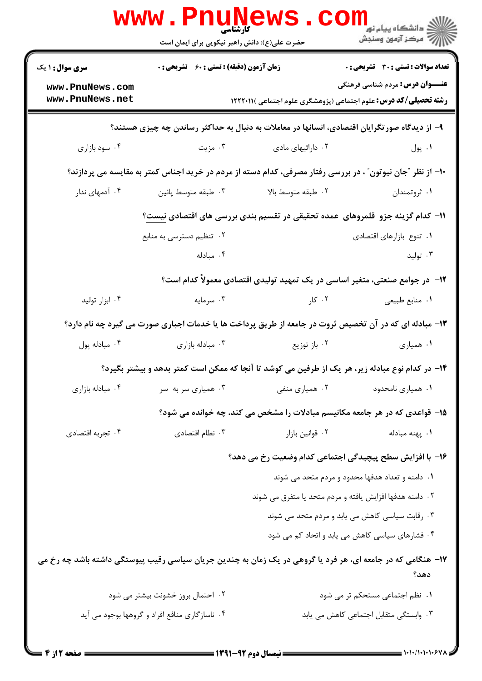|                                                                                                             | <b>www.Pnunews</b><br>حضرت علی(ع): دانش راهبر نیکویی برای ایمان است |                                                                                                            | الاد دانشگاه پيام نور<br>ا <mark>ر</mark> ≫ مرکز آزمون وسنجش |  |  |
|-------------------------------------------------------------------------------------------------------------|---------------------------------------------------------------------|------------------------------------------------------------------------------------------------------------|--------------------------------------------------------------|--|--|
| <b>سری سوال : ۱ یک</b>                                                                                      | <b>زمان آزمون (دقیقه) : تستی : 60 ٪ تشریحی : 0</b>                  |                                                                                                            | <b>تعداد سوالات : تستی : 30 ٪ تشریحی : 0</b>                 |  |  |
| www.PnuNews.com<br>www.PnuNews.net                                                                          |                                                                     | <b>رشته تحصیلی/کد درس:</b> علوم اجتماعی (پژوهشگری علوم اجتماعی )۱۲۲۲۰۱۱                                    | <b>عنـــوان درس:</b> مردم شناسی فرهنگی                       |  |  |
| ۹- از دیدگاه صور تگرایان اقتصادی، انسانها در معاملات به دنبال به حداکثر رساندن چه چیزی هستند؟               |                                                                     |                                                                                                            |                                                              |  |  |
| ۰۴ سود بازاری                                                                                               | ۰۳ مزیت                                                             | ۰۲ دارائیهای مادی                                                                                          | ۰۱ پول                                                       |  |  |
|                                                                                                             |                                                                     | +۱- از نظر ″جان نیوتون″ ، در بررسی رفتار مصرفی، کدام دسته از مردم در خرید اجناس کمتر به مقایسه می پردازند؟ |                                                              |  |  |
| ۰۴ آدمهای ندار                                                                                              | ۰۳ طبقه متوسط پائين                                                 | ٢. طبقه متوسط بالا                                                                                         | ۰۱ ثروتمندان                                                 |  |  |
|                                                                                                             |                                                                     | ۱۱− کدام گزینه جزو  قلمروهای  عمده تحقیقی در تقسیم بندی بررسی های اقتصادی <u>نیست</u> ؟                    |                                                              |  |  |
|                                                                                                             | ۰۲ تنظیم دسترسی به منابع                                            |                                                                                                            | ٠١ تنوع بازارهاي اقتصادي                                     |  |  |
|                                                                                                             | ۰۴ مبادله                                                           |                                                                                                            | ۰۳ تولید                                                     |  |  |
|                                                                                                             |                                                                     | ۱۲– در جوامع صنعتی، متغیر اساسی در یک تمهید تولیدی اقتصادی معمولاً کدام است؟                               |                                                              |  |  |
| ۰۴ ابزار تولید                                                                                              | ۰۳ سرمایه                                                           | ۰۲ کار                                                                                                     | ٠١ منابع طبيعي                                               |  |  |
|                                                                                                             |                                                                     | ۱۳- مبادله ای که در آن تخصیص ثروت در جامعه از طریق پرداخت ها یا خدمات اجباری صورت می گیرد چه نام دارد؟     |                                                              |  |  |
| ۰۴ مبادله پول                                                                                               | ۰۳ مبادله بازاری                                                    | ۰۲ باز توزیع                                                                                               | ۰۱ همیاری                                                    |  |  |
|                                                                                                             |                                                                     | ۱۴– در کدام نوع مبادله زیر، هر یک از طرفین می کوشد تا آنجا که ممکن است کمتر بدهد و بیشتر بگیرد؟            |                                                              |  |  |
| ۰۴ مبادله بازاری                                                                                            | ۰۳ همیاری سر به سر                                                  | ۰۲ همیاری منفی                                                                                             | ٠١ همياري نامحدود                                            |  |  |
|                                                                                                             |                                                                     | ۱۵– قواعدی که در هر جامعه مکانیسم مبادلات را مشخص می کند، چه خوانده می شود؟                                |                                                              |  |  |
| ۰۴ تجربه اقتصادي                                                                                            | ۰۳ نظام اقتصادی                                                     | ٠٢ قوانين بازار                                                                                            | ۰۱ پهنه مبادله                                               |  |  |
|                                                                                                             |                                                                     | ۱۶– با افزایش سطح پیچیدگی اجتماعی کدام وضعیت رخ می دهد؟                                                    |                                                              |  |  |
|                                                                                                             |                                                                     |                                                                                                            | ۰۱ دامنه و تعداد هدفها محدود و مردم متحد می شوند             |  |  |
|                                                                                                             |                                                                     | ۰۲ دامنه هدفها افزایش یافته و مردم متحد یا متفرق می شوند                                                   |                                                              |  |  |
|                                                                                                             |                                                                     |                                                                                                            | ۰۳ رقابت سیاسی کاهش می یابد و مردم متحد می شوند              |  |  |
|                                                                                                             |                                                                     |                                                                                                            | ۰۴ فشارهای سیاسی کاهش می یابد و اتحاد کم می شود              |  |  |
| ۱۷– هنگامی که در جامعه ای، هر فرد یا گروهی در یک زمان به چندین جریان سیاسی رقیب پیوستگی داشته باشد چه رخ می |                                                                     |                                                                                                            |                                                              |  |  |
|                                                                                                             |                                                                     |                                                                                                            | دهد؟                                                         |  |  |
|                                                                                                             | ۰۲ احتمال بروز خشونت بیشتر می شود                                   |                                                                                                            | ٠١ نظم اجتماعي مستحكم تر مي شود                              |  |  |
|                                                                                                             | ۰۴ ناسازگاری منافع افراد و گروهها بوجود می آید                      |                                                                                                            | ۰۳ وابستگی متقابل اجتماعی کاهش می یابد                       |  |  |
|                                                                                                             |                                                                     |                                                                                                            |                                                              |  |  |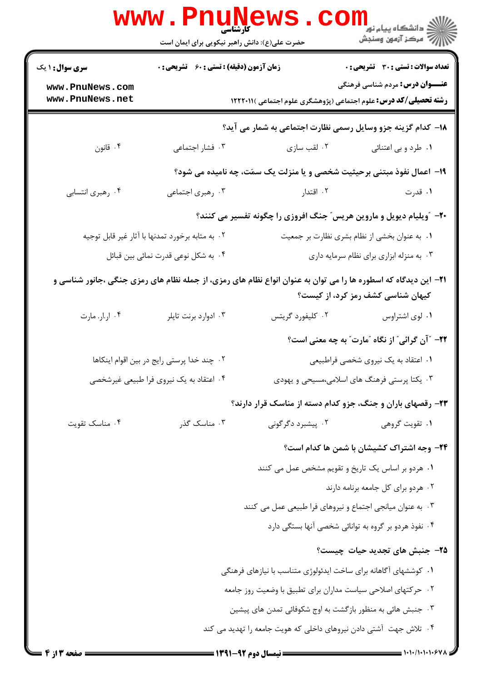|                                                            | www.PnuNews<br>حضرت علی(ع): دانش راهبر نیکویی برای ایمان است |                                                                                                                        | ر دانشگاه پيام نور <mark>− .</mark><br>ار <i>آ</i> مرکز آزمون وسنجش |  |
|------------------------------------------------------------|--------------------------------------------------------------|------------------------------------------------------------------------------------------------------------------------|---------------------------------------------------------------------|--|
| <b>سری سوال : ۱ یک</b>                                     | <b>زمان آزمون (دقیقه) : تستی : 60 ٪ تشریحی : 0</b>           |                                                                                                                        | <b>تعداد سوالات : تستی : 30 ٪ تشریحی : 0</b>                        |  |
| www.PnuNews.com<br>www.PnuNews.net                         |                                                              | <b>رشته تحصیلی/کد درس:</b> علوم اجتماعی (پژوهشگری علوم اجتماعی )۱۲۲۲۰۱۱                                                | <b>عنـــوان درس:</b> مردم شناسی فرهنگی                              |  |
|                                                            |                                                              | 18- كدام گزینه جزو وسایل رسمی نظارت اجتماعی به شمار می آید؟                                                            |                                                                     |  |
| ۰۴ قانون                                                   | ۰۳ فشار اجتماعی                                              | ۰۲ لقب سازی                                                                                                            | ۰۱ طرد و بی اعتنائی                                                 |  |
|                                                            |                                                              | ۱۹- اعمال نفوذ مبتنی برحیثیت شخصی و یا منزلت یک سمَت، چه نامیده می شود؟                                                |                                                                     |  |
| ۰۴ رهبري انتسابي                                           | ۰۳ رهبری اجتماعی                                             | ۰۲ اقتدار                                                                                                              | ۰۱ قدرت                                                             |  |
|                                                            |                                                              | <b>۲۰</b> - آویلیام دیویل و ماروین هریس" جنگ افروزی را چگونه تفسیر می کنند؟                                            |                                                                     |  |
|                                                            | ۰۲ به مثابه برخورد تمدنها با آثار غیر قابل توجیه             |                                                                                                                        | ۰۱ به عنوان بخشی از نظام بشری نظارت بر جمعیت                        |  |
|                                                            | ۰۴ به شکل نوعی قدرت نمائی بین قبائل                          |                                                                                                                        | ۰۳ به منزله ابزاری برای نظام سرمایه داری                            |  |
|                                                            |                                                              | <b>۲۱</b> – این دیدگاه که اسطوره ها را می توان به عنوان انواع نظام های رمزی، از جمله نظام های رمزی جنگی ،جانور شناسی و | <b>کیهان شناسی کشف رمز کرد، از کیست</b> ؟                           |  |
| ۰۴ ار.ار. مارت                                             | ۰۳ ادوارد برنت تايلر                                         | ۰۲ کلیفورد گریتس                                                                                                       | ۰۱ لوی اشتراوس                                                      |  |
|                                                            |                                                              |                                                                                                                        | ۲۲- "آن گرائی" از نگاه "مارت" به چه معنی است؟                       |  |
|                                                            | ۰۲ چند خدا پرستی رایج در بین اقوام اینکاها                   |                                                                                                                        | ۰۱ اعتقاد به یک نیروی شخصی فراطبیعی                                 |  |
| ۰۴ اعتقاد به یک نیروی فرا طبیعی غیرشخصی                    |                                                              | ۰۳ یکتا پرستی فرهنگ های اسلامی،مسیحی و یهودی                                                                           |                                                                     |  |
|                                                            |                                                              | ۲۳- رقصهای باران و جنگ، جزو کدام دسته از مناسک قرار دارند؟                                                             |                                                                     |  |
| ۰۴ مناسک تقویت                                             | ۰۳ مناسک گذر                                                 | ۰۲ پیشبرد دگرگونی                                                                                                      | ۰۱ تقویت گروهی                                                      |  |
|                                                            |                                                              |                                                                                                                        | <b>۲۴</b> - وجه اشتراک کشیشان با شمن ها کدام است؟                   |  |
|                                                            |                                                              | ۰۱ هردو بر اساس یک تاریخ و تقویم مشخص عمل می کنند                                                                      |                                                                     |  |
|                                                            |                                                              |                                                                                                                        | ٠٢ هردو براي كل جامعه برنامه دارند                                  |  |
|                                                            |                                                              | ۰۳ به عنوان میانجی اجتماع و نیروهای فرا طبیعی عمل می کنند                                                              |                                                                     |  |
|                                                            |                                                              |                                                                                                                        | ۰۴ نفوذ هردو بر گروه به توانائی شخصی آنها بستگی دارد                |  |
|                                                            |                                                              |                                                                                                                        | ۲۵– جنبش های تجدید حیات چیست؟                                       |  |
|                                                            |                                                              | ۰۱ کوششهای آگاهانه برای ساخت ایدئولوژی متناسب با نیازهای فرهنگی                                                        |                                                                     |  |
|                                                            |                                                              | ۰۲ حرکتهای اصلاحی سیاست مداران برای تطبیق با وضعیت روز جامعه                                                           |                                                                     |  |
| ۰۳ جنبش هائی به منظور بازگشت به اوج شکوفائی تمدن های پیشین |                                                              |                                                                                                                        |                                                                     |  |
|                                                            |                                                              | ۰۴ تلاش جهت آشتی دادن نیروهای داخلی که هویت جامعه را تهدید می کند                                                      |                                                                     |  |
| = صفحه 3 از 4 ــ                                           |                                                              |                                                                                                                        |                                                                     |  |